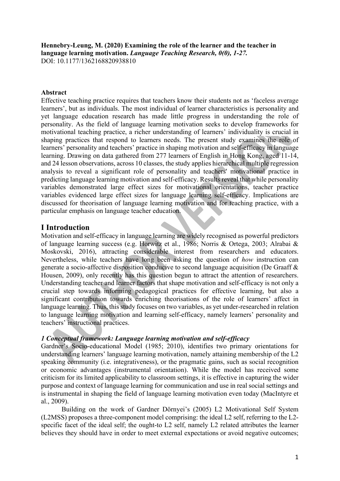**Hennebry-Leung, M. (2020) Examining the role of the learner and the teacher in language learning motivation.** *Language Teaching Research, 0(0), 1-27.*  DOI: 10.1177/1362168820938810

### **Abstract**

Effective teaching practice requires that teachers know their students not as 'faceless average learners', but as individuals. The most individual of learner characteristics is personality and yet language education research has made little progress in understanding the role of personality. As the field of language learning motivation seeks to develop frameworks for motivational teaching practice, a richer understanding of learners' individuality is crucial in shaping practices that respond to learners needs. The present study examines the role of learners' personality and teachers' practice in shaping motivation and self-efficacy in language learning. Drawing on data gathered from 277 learners of English in Hong Kong, aged 11-14, and 24 lesson observations, across 10 classes, the study applies hierarchical multiple regression analysis to reveal a significant role of personality and teachers' motivational practice in predicting language learning motivation and self-efficacy. Results reveal that while personality variables demonstrated large effect sizes for motivational orientations, teacher practice variables evidenced large effect sizes for language learning self-efficacy. Implications are discussed for theorisation of language learning motivation and for teaching practice, with a particular emphasis on language teacher education.

# **I Introduction**

Motivation and self-efficacy in language learning are widely recognised as powerful predictors of language learning success (e.g. Horwitz et al., 1986; Norris & Ortega, 2003; Alrabai & Moskovski, 2016), attracting considerable interest from researchers and educators. Nevertheless, while teachers have long been asking the question of *how* instruction can generate a socio-affective disposition conducive to second language acquisition (De Graaff & Housen, 2009), only recently has this question begun to attract the attention of researchers. Understanding teacher and learner factors that shape motivation and self-efficacy is not only a crucial step towards informing pedagogical practices for effective learning, but also a significant contribution towards enriching theorisations of the role of learners' affect in language learning. Thus, this study focuses on two variables, as yet under-researched in relation to language learning motivation and learning self-efficacy, namely learners' personality and teachers' instructional practices.

### *1 Conceptual framework: Language learning motivation and self-efficacy*

Gardner's Socio-educational Model (1985; 2010), identifies two primary orientations for understanding learners' language learning motivation, namely attaining membership of the L2 speaking community (i.e. integrativeness), or the pragmatic gains, such as social recognition or economic advantages (instrumental orientation). While the model has received some criticism for its limited applicability to classroom settings, it is effective in capturing the wider purpose and context of language learning for communication and use in real social settings and is instrumental in shaping the field of language learning motivation even today (MacIntyre et al., 2009).

Building on the work of Gardner Dörnyei's (2005) L2 Motivational Self System (L2MSS) proposes a three-component model comprising: the ideal L2 self, referring to the L2 specific facet of the ideal self; the ought-to L2 self, namely L2 related attributes the learner believes they should have in order to meet external expectations or avoid negative outcomes;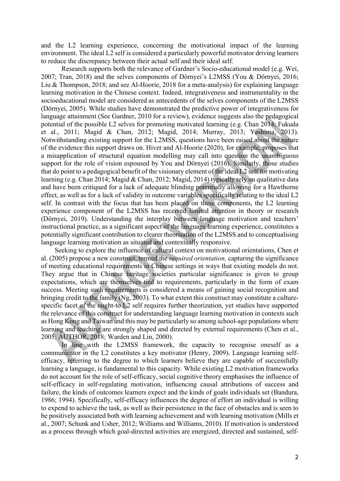and the L2 learning experience, concerning the motivational impact of the learning environment. The ideal L2 self is considered a particularly powerful motivator driving learners to reduce the discrepancy between their actual self and their ideal self.

Research supports both the relevance of Gardner's Socio-educational model (e.g. Wei, 2007; Tran, 2018) and the selves components of Dörnyei's L2MSS (You & Dörnyei, 2016; Liu & Thompson, 2018; and see Al-Hoorie, 2018 for a meta-analysis) for explaining language learning motivation in the Chinese context. Indeed, integrativeness and instrumentality in the socioeducational model are considered as antecedents of the selves components of the L2MSS (Dörnyei, 2005). While studies have demonstrated the predictive power of integrativeness for language attainment (See Gardner, 2010 for a review), evidence suggests also the pedagogical potential of the possible L2 selves for promoting motivated learning (e.g. Chan 2014; Fukuda et al., 2011; Magid & Chan, 2012; Magid, 2014; Murray, 2013; Yashima, 2013). Notwithstanding existing support for the L2MSS, questions have been raised about the nature of the evidence this support draws on. Hiver and Al-Hoorie (2020), for example, proposes that a misapplication of structural equation modelling may call into question the unambiguous support for the role of vision espoused by You and Dörnyei (2016). Similarly, those studies that do point to a pedagogical benefit of the visionary element of the ideal L2 self for motivating learning (e.g. Chan 2014; Magid & Chan, 2012; Magid, 2014) typically rely on qualitative data and have been critiqued for a lack of adequate blinding potentially allowing for a Hawthorne effect, as well as for a lack of validity in outcome variables specifically relating to the ideal L2 self. In contrast with the focus that has been placed on these components, the L2 learning experience component of the L2MSS has received limited attention in theory or research (Dörnyei, 2019). Understanding the interplay between language motivation and teachers' instructional practice, as a significant aspect of the language learning experience, constitutes a potentially significant contribution to clearer theorisation of the L2MSS and to conceptualising language learning motivation as situated and contextually responsive.

Seeking to explore the influence of cultural context on motivational orientations, Chen et al. (2005) propose a new construct, termed the *required orientation,* capturing the significance of meeting educational requirements in Chinese settings in ways that existing models do not. They argue that in Chinese heritage societies particular significance is given to group expectations, which are themselves tied to requirements, particularly in the form of exam success. Meeting such requirements is considered a means of gaining social recognition and bringing credit to the family (Ng, 2003). To what extent this construct may constitute a culturespecific facet of the ought-to L2 self requires further theorization, yet studies have supported the relevance of this construct for understanding language learning motivation in contexts such as Hong Kong and Taiwan and this may be particularly so among school-age populations where learning and teaching are strongly shaped and directed by external requirements (Chen et al., 2005; AUTHOR, 2018; Warden and Lin, 2000).

In line with the L2MSS framework, the capacity to recognise oneself as a communicator in the L2 constitutes a key motivator (Henry, 2009). Language learning selfefficacy, referring to the degree to which learners believe they are capable of successfully learning a language, is fundamental to this capacity. While existing L2 motivation frameworks do not account for the role of self-efficacy, social cognitive theory emphasises the influence of self-efficacy in self-regulating motivation, influencing causal attributions of success and failure, the kinds of outcomes learners expect and the kinds of goals individuals set (Bandura, 1986; 1994). Specifically, self-efficacy influences the degree of effort an individual is willing to expend to achieve the task, as well as their persistence in the face of obstacles and is seen to be positively associated both with learning achievement and with learning motivation (Mills et al., 2007; Schunk and Usher, 2012; Williams and Williams, 2010). If motivation is understood as a process through which goal-directed activities are energized, directed and sustained, self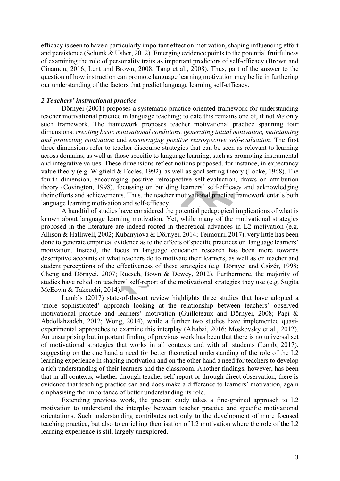efficacy is seen to have a particularly important effect on motivation, shaping influencing effort and persistence (Schunk & Usher, 2012). Emerging evidence points to the potential fruitfulness of examining the role of personality traits as important predictors of self-efficacy (Brown and Cinamon, 2016; Lent and Brown, 2008; Tang et al., 2008). Thus, part of the answer to the question of how instruction can promote language learning motivation may be lie in furthering our understanding of the factors that predict language learning self-efficacy.

### *2 Teachers' instructional practice*

Dörnyei (2001) proposes a systematic practice-oriented framework for understanding teacher motivational practice in language teaching; to date this remains one of, if not *the* only such framework. The framework proposes teacher motivational practice spanning four dimensions: *creating basic motivational conditions, generating initial motivation, maintaining and protecting motivation* and *encouraging positive retrospective self-evaluation.* The first three dimensions refer to teacher discourse strategies that can be seen as relevant to learning across domains, as well as those specific to language learning, such as promoting instrumental and integrative values. These dimensions reflect notions proposed, for instance, in expectancy value theory (e.g. Wigfield & Eccles, 1992), as well as goal setting theory (Locke, 1968). The fourth dimension, encouraging positive retrospective self-evaluation, draws on attribution theory (Covington, 1998), focussing on building learners' self-efficacy and acknowledging their efforts and achievements. Thus, the teacher motivational practice framework entails both language learning motivation and self-efficacy.

A handful of studies have considered the potential pedagogical implications of what is known about language learning motivation. Yet, while many of the motivational strategies proposed in the literature are indeed rooted in theoretical advances in L2 motivation (e.g. Allison & Halliwell, 2002; Kubanyiova & Dörnyei, 2014; Teimouri, 2017), very little has been done to generate empirical evidence as to the effects of specific practices on language learners' motivation. Instead, the focus in language education research has been more towards descriptive accounts of what teachers do to motivate their learners, as well as on teacher and student perceptions of the effectiveness of these strategies (e.g. Dörnyei and Csizér, 1998; Cheng and Dörnyei, 2007; Ruesch, Bown & Dewey, 2012). Furthermore, the majority of studies have relied on teachers' self-report of the motivational strategies they use (e.g. Sugita McEown & Takeuchi, 2014).

Lamb's (2017) state-of-the-art review highlights three studies that have adopted a 'more sophisticated' approach looking at the relationship between teachers' observed motivational practice and learners' motivation (Guilloteaux and Dörnyei, 2008; Papi & Abdollahzadeh, 2012; Wong, 2014), while a further two studies have implemented quasiexperimental approaches to examine this interplay (Alrabai, 2016; Moskovsky et al., 2012). An unsurprising but important finding of previous work has been that there is no universal set of motivational strategies that works in all contexts and with all students (Lamb, 2017), suggesting on the one hand a need for better theoretical understanding of the role of the L2 learning experience in shaping motivation and on the other hand a need for teachers to develop a rich understanding of their learners and the classroom. Another findings, however, has been that in all contexts, whether through teacher self-report or through direct observation, there is evidence that teaching practice can and does make a difference to learners' motivation, again emphasising the importance of better understanding its role.

Extending previous work, the present study takes a fine-grained approach to L2 motivation to understand the interplay between teacher practice and specific motivational orientations. Such understanding contributes not only to the development of more focused teaching practice, but also to enriching theorisation of L2 motivation where the role of the L2 learning experience is still largely unexplored.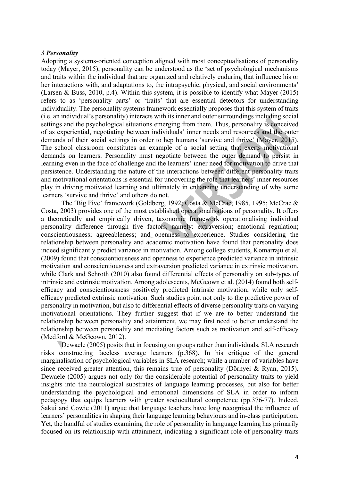### *3 Personality*

Adopting a systems-oriented conception aligned with most conceptualisations of personality today (Mayer, 2015), personality can be understood as the 'set of psychological mechanisms and traits within the individual that are organized and relatively enduring that influence his or her interactions with, and adaptations to, the intrapsychic, physical, and social environments' (Larsen & Buss, 2010, p.4). Within this system, it is possible to identify what Mayer (2015) refers to as 'personality parts' or 'traits' that are essential detectors for understanding individuality. The personality systems framework essentially proposes that this system of traits (i.e. an individual's personality) interacts with its inner and outer surroundings including social settings and the psychological situations emerging from them. Thus, personality is conceived of as experiential, negotiating between individuals' inner needs and resources and the outer demands of their social settings in order to hep humans 'survive and thrive' (Mayer, 2015). The school classroom constitutes an example of a social setting that exerts motivational demands on learners. Personality must negotiate between the outer demand to persist in learning even in the face of challenge and the learners' inner need for motivation to drive that persistence. Understanding the nature of the interactions between different personality traits and motivational orientations is essential for uncovering the role that learners' inner resources play in driving motivated learning and ultimately in enhancing understanding of why some learners 'survive and thrive' and others do not.

The 'Big Five' framework (Goldberg, 1992; Costa & McCrae, 1985, 1995; McCrae & Costa, 2003) provides one of the most established operationalisations of personality. It offers a theoretically and empirically driven, taxonomic framework operationalising individual personality difference through five factors, namely: extraversion; emotional regulation; conscientiousness; agreeableness; and openness to experience. Studies considering the relationship between personality and academic motivation have found that personality does indeed significantly predict variance in motivation. Among college students, Komarraju et al. (2009) found that conscientiousness and openness to experience predicted variance in intrinsic motivation and conscientiousness and extraversion predicted variance in extrinsic motivation, while Clark and Schroth (2010) also found differential effects of personality on sub-types of intrinsic and extrinsic motivation. Among adolescents, McGeown et al. (2014) found both selfefficacy and conscientiousness positively predicted intrinsic motivation, while only selfefficacy predicted extrinsic motivation. Such studies point not only to the predictive power of personality in motivation, but also to differential effects of diverse personality traits on varying motivational orientations. They further suggest that if we are to better understand the relationship between personality and attainment, we may first need to better understand the relationship between personality and mediating factors such as motivation and self-efficacy (Medford & McGeown, 2012).

Dewaele (2005) posits that in focusing on groups rather than individuals, SLA research risks constructing faceless average learners (p.368). In his critique of the general marginalisation of psychological variables in SLA research; while a number of variables have since received greater attention, this remains true of personality (Dörnyei & Ryan, 2015). Dewaele (2005) argues not only for the considerable potential of personality traits to yield insights into the neurological substrates of language learning processes, but also for better understanding the psychological and emotional dimensions of SLA in order to inform pedagogy that equips learners with greater sociocultural competence (pp.376-77). Indeed, Sakui and Cowie (2011) argue that language teachers have long recognised the influence of learners' personalities in shaping their language learning behaviours and in-class participation. Yet, the handful of studies examining the role of personality in language learning has primarily focused on its relationship with attainment, indicating a significant role of personality traits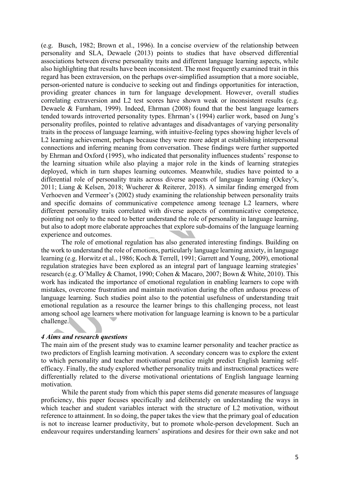(e.g. Busch, 1982; Brown et al., 1996). In a concise overview of the relationship between personality and SLA, Dewaele (2013) points to studies that have observed differential associations between diverse personality traits and different language learning aspects, while also highlighting that results have been inconsistent. The most frequently examined trait in this regard has been extraversion, on the perhaps over-simplified assumption that a more sociable, person-oriented nature is conducive to seeking out and findings opportunities for interaction, providing greater chances in turn for language development. However, overall studies correlating extraversion and L2 test scores have shown weak or inconsistent results (e.g. Dewaele & Furnham, 1999). Indeed, Ehrman (2008) found that the best language learners tended towards introverted personality types. Ehrman's (1994) earlier work, based on Jung's personality profiles, pointed to relative advantages and disadvantages of varying personality traits in the process of language learning, with intuitive-feeling types showing higher levels of L2 learning achievement, perhaps because they were more adept at establishing interpersonal connections and inferring meaning from conversation. These findings were further supported by Ehrman and Oxford (1995), who indicated that personality influences students' response to the learning situation while also playing a major role in the kinds of learning strategies deployed, which in turn shapes learning outcomes. Meanwhile, studies have pointed to a differential role of personality traits across diverse aspects of language learning (Ockey's, 2011; Liang & Kelsen, 2018; Wucherer & Reiterer, 2018). A similar finding emerged from Verhoeven and Vermeer's (2002) study examining the relationship between personality traits and specific domains of communicative competence among teenage L2 learners, where different personality traits correlated with diverse aspects of communicative competence, pointing not only to the need to better understand the role of personality in language learning, but also to adopt more elaborate approaches that explore sub-domains of the language learning experience and outcomes.

The role of emotional regulation has also generated interesting findings. Building on the work to understand the role of emotions, particularly language learning anxiety, in language learning (e.g. Horwitz et al., 1986; Koch & Terrell, 1991; Garrett and Young, 2009), emotional regulation strategies have been explored as an integral part of language learning strategies' research (e.g. O'Malley & Chamot, 1990; Cohen & Macaro, 2007; Bown & White, 2010). This work has indicated the importance of emotional regulation in enabling learners to cope with mistakes, overcome frustration and maintain motivation during the often arduous process of language learning. Such studies point also to the potential usefulness of understanding trait emotional regulation as a resource the learner brings to this challenging process, not least among school age learners where motivation for language learning is known to be a particular challenge.

### *4 Aims and research questions*

The main aim of the present study was to examine learner personality and teacher practice as two predictors of English learning motivation. A secondary concern was to explore the extent to which personality and teacher motivational practice might predict English learning selfefficacy. Finally, the study explored whether personality traits and instructional practices were differentially related to the diverse motivational orientations of English language learning motivation.

While the parent study from which this paper stems did generate measures of language proficiency, this paper focuses specifically and deliberately on understanding the ways in which teacher and student variables interact with the structure of L2 motivation, without reference to attainment. In so doing, the paper takes the view that the primary goal of education is not to increase learner productivity, but to promote whole-person development. Such an endeavour requires understanding learners' aspirations and desires for their own sake and not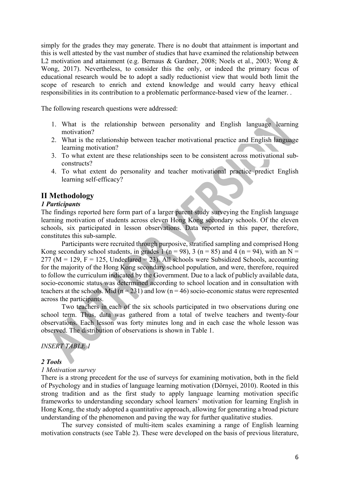simply for the grades they may generate. There is no doubt that attainment is important and this is well attested by the vast number of studies that have examined the relationship between L2 motivation and attainment (e.g. Bernaus & Gardner, 2008; Noels et al., 2003; Wong & Wong, 2017). Nevertheless, to consider this the only, or indeed the primary focus of educational research would be to adopt a sadly reductionist view that would both limit the scope of research to enrich and extend knowledge and would carry heavy ethical responsibilities in its contribution to a problematic performance-based view of the learner. .

The following research questions were addressed:

- 1. What is the relationship between personality and English language learning motivation?
- 2. What is the relationship between teacher motivational practice and English language learning motivation?
- 3. To what extent are these relationships seen to be consistent across motivational subconstructs?
- 4. To what extent do personality and teacher motivational practice predict English learning self-efficacy?

### **II Methodology**

### *1 Participants*

The findings reported here form part of a larger parent study surveying the English language learning motivation of students across eleven Hong Kong secondary schools. Of the eleven schools, six participated in lesson observations. Data reported in this paper, therefore, constitutes this sub-sample.

Participants were recruited through purposive, stratified sampling and comprised Hong Kong secondary school students, in grades 1 (n = 98), 3 (n = 85) and 4 (n = 94), with an N =  $277 \text{ (M} = 129, \text{ F} = 125, \text{ Undeclared} = 23$ ). All schools were Subsidized Schools, accounting for the majority of the Hong Kong secondary school population, and were, therefore, required to follow the curriculum indicated by the Government. Due to a lack of publicly available data, socio-economic status was determined according to school location and in consultation with teachers at the schools. Mid ( $n = 231$ ) and low ( $n = 46$ ) socio-economic status were represented across the participants.

Two teachers in each of the six schools participated in two observations during one school term. Thus, data was gathered from a total of twelve teachers and twenty-four observations. Each lesson was forty minutes long and in each case the whole lesson was observed. The distribution of observations is shown in Table 1.

### *INSERT TABLE 1*

### *2 Tools*

#### *1 Motivation survey*

There is a strong precedent for the use of surveys for examining motivation, both in the field of Psychology and in studies of language learning motivation (Dörnyei, 2010). Rooted in this strong tradition and as the first study to apply language learning motivation specific frameworks to understanding secondary school learners' motivation for learning English in Hong Kong, the study adopted a quantitative approach, allowing for generating a broad picture understanding of the phenomenon and paving the way for further qualitative studies.

The survey consisted of multi-item scales examining a range of English learning motivation constructs (see Table 2). These were developed on the basis of previous literature,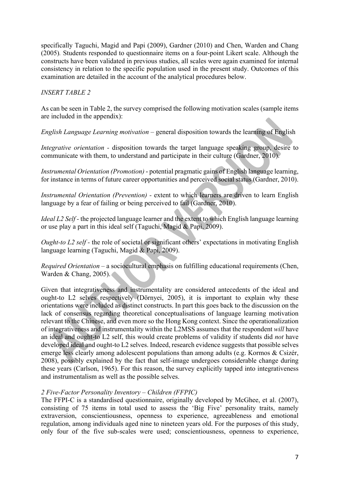specifically Taguchi, Magid and Papi (2009), Gardner (2010) and Chen, Warden and Chang (2005)*.* Students responded to questionnaire items on a four-point Likert scale. Although the constructs have been validated in previous studies, all scales were again examined for internal consistency in relation to the specific population used in the present study. Outcomes of this examination are detailed in the account of the analytical procedures below.

## *INSERT TABLE 2*

As can be seen in Table 2, the survey comprised the following motivation scales (sample items are included in the appendix):

*English Language Learning motivation –* general disposition towards the learning of English

*Integrative orientation -* disposition towards the target language speaking group, desire to communicate with them, to understand and participate in their culture (Gardner, 2010).

*Instrumental Orientation (Promotion)* - potential pragmatic gains of English language learning, for instance in terms of future career opportunities and perceived social status (Gardner, 2010).

*Instrumental Orientation (Prevention) -* extent to which learners are driven to learn English language by a fear of failing or being perceived to fail (Gardner, 2010).

*Ideal L2 Self* - the projected language learner and the extent to which English language learning or use play a part in this ideal self (Taguchi, Magid & Papi, 2009).

*Ought-to L2 self* - the role of societal or significant others' expectations in motivating English language learning (Taguchi, Magid & Papi, 2009).

*Required Orientation –* a sociocultural emphasis on fulfilling educational requirements (Chen, Warden & Chang, 2005).

Given that integrativeness and instrumentality are considered antecedents of the ideal and ought-to L2 selves respectively (Dörnyei, 2005), it is important to explain why these orientations were included as distinct constructs. In part this goes back to the discussion on the lack of consensus regarding theoretical conceptualisations of language learning motivation relevant to the Chinese, and even more so the Hong Kong context. Since the operationalization of integrativeness and instrumentality within the L2MSS assumes that the respondent *will* have an ideal and ought-to L2 self, this would create problems of validity if students did *not* have developed ideal and ought-to L2 selves. Indeed, research evidence suggests that possible selves emerge less clearly among adolescent populations than among adults (e.g. Kormos & Csizér, 2008), possibly explained by the fact that self-image undergoes considerable change during these years (Carlson, 1965). For this reason, the survey explicitly tapped into integrativeness and instrumentalism as well as the possible selves.

### *2 Five-Factor Personality Inventory – Children (FFPIC)*

The FFPI-C is a standardised questionnaire, originally developed by McGhee, et al. (2007), consisting of 75 items in total used to assess the 'Big Five' personality traits, namely extraversion, conscientiousness, openness to experience, agreeableness and emotional regulation, among individuals aged nine to nineteen years old. For the purposes of this study, only four of the five sub-scales were used; conscientiousness, openness to experience,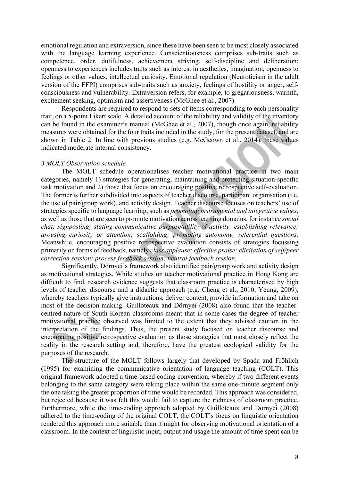emotional regulation and extraversion, since these have been seen to be most closely associated with the language learning experience. Conscientiousness comprises sub-traits such as competence, order, dutifulness, achievement striving, self-discipline and deliberation; openness to experiences includes traits such as interest in aesthetics, imagination, openness to feelings or other values, intellectual curiosity. Emotional regulation (Neuroticism in the adult version of the FFPI) comprises sub-traits such as anxiety, feelings of hostility or anger, selfconsciousness and vulnerability. Extraversion refers, for example, to gregariousness, warmth, excitement seeking, optimism and assertiveness (McGhee et al., 2007).

Respondents are required to respond to sets of items corresponding to each personality trait, on a 5-point Likert scale. A detailed account of the reliability and validity of the inventory can be found in the examiner's manual (McGhee et al., 2007), though once again, reliability measures were obtained for the four traits included in the study, for the present dataset, and are shown in Table 2. In line with previous studies (e.g. McGeown et al., 2014), these values indicated moderate internal consistency.

#### *3 MOLT Observation schedule*

The MOLT schedule operationalises teacher motivational practice in two main categories, namely 1) strategies for generating, maintaining and protecting situation-specific task motivation and 2) those that focus on encouraging positive retrospective self-evaluation. The former is further subdivided into aspects of teacher discourse, participant organisation (i.e. the use of pair/group work), and activity design. Teacher discourse focuses on teachers' use of strategies specific to language learning, such as *promoting instrumental and integrative values*, as well as those that are seen to promote motivation across learning domains, for instance *social chat; signposting; stating communicative purpose/utility of activity; establishing relevance; arousing curiosity or attention; scaffolding; promoting autonomy; referential questions*. Meanwhile, encouraging positive retrospective evaluation consists of strategies focussing primarily on forms of feedback, namely *class applause; effective praise; elicitation of self/peer correction session; process feedback session; neutral feedback session*.

Significantly, Dörnyei's framework also identified pair/group work and activity design as motivational strategies. While studies on teacher motivational practice in Hong Kong are difficult to find, research evidence suggests that classroom practice is characterised by high levels of teacher discourse and a didactic approach (e.g. Cheng et al., 2010; Yeung, 2009), whereby teachers typically give instructions, deliver content, provide information and take on most of the decision-making. Guilloteaux and Dörnyei (2008) also found that the teachercentred nature of South Korean classrooms meant that in some cases the degree of teacher motivational practice observed was limited to the extent that they advised caution in the interpretation of the findings. Thus, the present study focused on teacher discourse and encouraging positive retrospective evaluation as those strategies that most closely reflect the reality in the research setting and, therefore, have the greatest ecological validity for the purposes of the research.

The structure of the MOLT follows largely that developed by Spada and Fröhlich (1995) for examining the communicative orientation of language teaching (COLT). This original framework adopted a time-based coding convention, whereby if two different events belonging to the same category were taking place within the same one-minute segment only the one taking the greater proportion of time would be recorded. This approach was considered, but rejected because it was felt this would fail to capture the richness of classroom practice. Furthermore, while the time-coding approach adopted by Guilloteaux and Dörnyei (2008) adhered to the time-coding of the original COLT, the COLT's focus on linguistic orientation rendered this approach more suitable than it might for observing motivational orientation of a classroom. In the context of linguistic input, output and usage the amount of time spent can be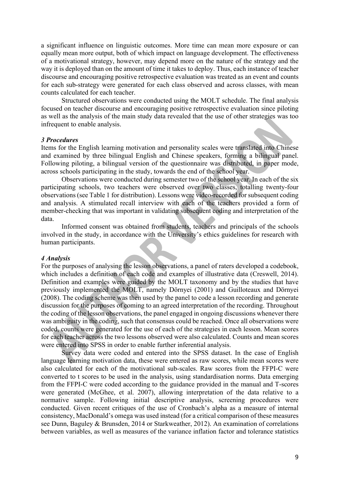a significant influence on linguistic outcomes. More time can mean more exposure or can equally mean more output, both of which impact on language development. The effectiveness of a motivational strategy, however, may depend more on the nature of the strategy and the way it is deployed than on the amount of time it takes to deploy. Thus, each instance of teacher discourse and encouraging positive retrospective evaluation was treated as an event and counts for each sub-strategy were generated for each class observed and across classes, with mean counts calculated for each teacher.

Structured observations were conducted using the MOLT schedule. The final analysis focused on teacher discourse and encouraging positive retrospective evaluation since piloting as well as the analysis of the main study data revealed that the use of other strategies was too infrequent to enable analysis.

#### *3 Procedures*

Items for the English learning motivation and personality scales were translated into Chinese and examined by three bilingual English and Chinese speakers, forming a bilingual panel. Following piloting, a bilingual version of the questionnaire was distributed, in paper mode, across schools participating in the study, towards the end of the school year.

Observations were conducted during semester two of the school year. In each of the six participating schools, two teachers were observed over two classes, totalling twenty-four observations (see Table 1 for distribution). Lessons were video-recorded for subsequent coding and analysis. A stimulated recall interview with each of the teachers provided a form of member-checking that was important in validating subsequent coding and interpretation of the data.

Informed consent was obtained from students, teachers and principals of the schools involved in the study, in accordance with the University's ethics guidelines for research with human participants.

#### *4 Analysis*

For the purposes of analysing the lesson observations, a panel of raters developed a codebook, which includes a definition of each code and examples of illustrative data (Creswell, 2014). Definition and examples were guided by the MOLT taxonomy and by the studies that have previously implemented the MOLT, namely Dörnyei (2001) and Guilloteaux and Dörnyei (2008). The coding scheme was then used by the panel to code a lesson recording and generate discussion for the purposes of coming to an agreed interpretation of the recording. Throughout the coding of the lesson observations, the panel engaged in ongoing discussions whenever there was ambiguity in the coding, such that consensus could be reached. Once all observations were coded, counts were generated for the use of each of the strategies in each lesson. Mean scores for each teacher across the two lessons observed were also calculated. Counts and mean scores were entered into SPSS in order to enable further inferential analysis.

Survey data were coded and entered into the SPSS dataset. In the case of English language learning motivation data, these were entered as raw scores, while mean scores were also calculated for each of the motivational sub-scales. Raw scores from the FFPI-C were converted to t scores to be used in the analysis, using standardisation norms. Data emerging from the FFPI-C were coded according to the guidance provided in the manual and T-scores were generated (McGhee, et al. 2007), allowing interpretation of the data relative to a normative sample. Following initial descriptive analysis, screening procedures were conducted. Given recent critiques of the use of Cronbach's alpha as a measure of internal consistency, MacDonald's omega was used instead (for a critical comparison of these measures see Dunn, Baguley & Brunsden, 2014 or Starkweather, 2012). An examination of correlations between variables, as well as measures of the variance inflation factor and tolerance statistics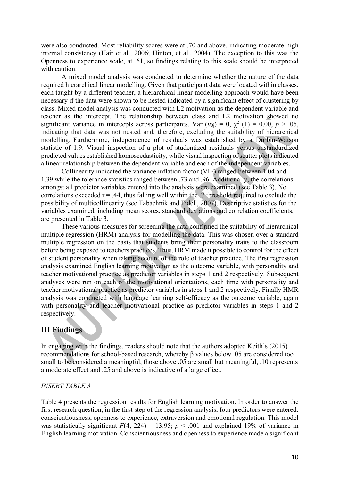were also conducted. Most reliability scores were at .70 and above, indicating moderate-high internal consistency (Hair et al., 2006; Hinton, et al., 2004). The exception to this was the Openness to experience scale, at .61, so findings relating to this scale should be interpreted with caution.

A mixed model analysis was conducted to determine whether the nature of the data required hierarchical linear modelling. Given that participant data were located within classes, each taught by a different teacher, a hierarchical linear modelling approach would have been necessary if the data were shown to be nested indicated by a significant effect of clustering by class. Mixed model analysis was conducted with L2 motivation as the dependent variable and teacher as the intercept. The relationship between class and L2 motivation showed no significant variance in intercepts across participants, Var  $(u_{0i}) = 0$ ,  $\chi^2$  (1) = 0.00,  $p > .05$ , indicating that data was not nested and, therefore, excluding the suitability of hierarchical modelling. Furthermore, independence of residuals was established by a Durbin-Watson statistic of 1.9. Visual inspection of a plot of studentized residuals versus unstandardized predicted values established homoscedasticity, while visual inspection of scatter plots indicated a linear relationship between the dependent variable and each of the independent variables.

Collinearity indicated the variance inflation factor (VIF) ranged between 1.04 and 1.39 while the tolerance statistics ranged between .73 and .96. Additionally, the correlations amongst all predictor variables entered into the analysis were examined (see Table 3). No correlations exceeded  $r = .44$ , thus falling well within the  $.7$  threshold required to exclude the possibility of multicollinearity (see Tabachnik and Fidell, 2007). Descriptive statistics for the variables examined, including mean scores, standard deviations and correlation coefficients, are presented in Table 3.

These various measures for screening the data confirmed the suitability of hierarchical multiple regression (HRM) analysis for modelling the data. This was chosen over a standard multiple regression on the basis that students bring their personality traits to the classroom before being exposed to teachers practices. Thus, HRM made it possible to control for the effect of student personality when taking account of the role of teacher practice. The first regression analysis examined English learning motivation as the outcome variable, with personality and teacher motivational practice as predictor variables in steps 1 and 2 respectively. Subsequent analyses were run on each of the motivational orientations, each time with personality and teacher motivational practice as predictor variables in steps 1 and 2 respectively. Finally HMR analysis was conducted with language learning self-efficacy as the outcome variable, again with personality and teacher motivational practice as predictor variables in steps 1 and 2 respectively.

# **III Findings**

In engaging with the findings, readers should note that the authors adopted Keith's (2015) recommendations for school-based research, whereby β values below .05 are considered too small to be considered a meaningful, those above .05 are small but meaningful, .10 represents a moderate effect and .25 and above is indicative of a large effect.

### *INSERT TABLE 3*

Table 4 presents the regression results for English learning motivation. In order to answer the first research question, in the first step of the regression analysis, four predictors were entered: conscientiousness, openness to experience, extraversion and emotional regulation. This model was statistically significant  $F(4, 224) = 13.95$ ;  $p < .001$  and explained 19% of variance in English learning motivation. Conscientiousness and openness to experience made a significant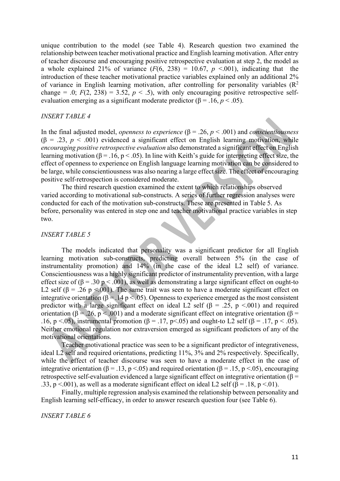unique contribution to the model (see Table 4). Research question two examined the relationship between teacher motivational practice and English learning motivation. After entry of teacher discourse and encouraging positive retrospective evaluation at step 2, the model as a whole explained 21% of variance  $(F(6, 238) = 10.67, p \le 0.001)$ , indicating that the introduction of these teacher motivational practice variables explained only an additional 2% of variance in English learning motivation, after controlling for personality variables  $(R^2)$ change = .0;  $F(2, 238) = 3.52$ ,  $p < .5$ ), with only encouraging positive retrospective selfevaluation emerging as a significant moderate predictor  $(\beta = .16, p < .05)$ .

### *INSERT TABLE 4*

In the final adjusted model, *openness to experience* (β = .26, *p* < .001) and *conscientiousness* ( $\beta$  = .23,  $p$  < .001) evidenced a significant effect on English learning motivation, while *encouraging positive retrospective evaluation* also demonstrated a significant effect on English learning motivation ( $\beta = 0.16$ ,  $p < 0.05$ ). In line with Keith's guide for interpreting effect size, the effect of openness to experience on English language learning motivation can be considered to be large, while conscientiousness was also nearing a large effect size. The effect of encouraging positive self-retrospection is considered moderate.

The third research question examined the extent to which relationships observed varied according to motivational sub-constructs. A series of further regression analyses were conducted for each of the motivation sub-constructs. These are presented in Table 5. As before, personality was entered in step one and teacher motivational practice variables in step two.

### *INSERT TABLE 5*

The models indicated that personality was a significant predictor for all English learning motivation sub-constructs, predicting overall between 5% (in the case of instrumentality promotion) and 14% (in the case of the ideal L2 self) of variance. Conscientiousness was a highly significant predictor of instrumentality prevention, with a large effect size of ( $\beta = .30$  p < .001), as well as demonstrating a large significant effect on ought-to L2 self ( $\beta$  = .26 p <.001). The same trait was seen to have a moderate significant effect on integrative orientation ( $\beta = 0.14 \text{ p} < 0.05$ ). Openness to experience emerged as the most consistent predictor with a large significant effect on ideal L2 self ( $\beta$  = .25, p <.001) and required orientation ( $\beta = 0.26$ ,  $p < 0.001$ ) and a moderate significant effect on integrative orientation ( $\beta =$ .16, p <.05), instrumental promotion ( $\beta$  = .17, p <.05) and ought-to L2 self ( $\beta$  = .17, p < .05). Neither emotional regulation nor extraversion emerged as significant predictors of any of the motivational orientations.

Teacher motivational practice was seen to be a significant predictor of integrativeness, ideal L2 self and required orientations, predicting 11%, 3% and 2% respectively. Specifically, while the effect of teacher discourse was seen to have a moderate effect in the case of integrative orientation ( $\beta = .13$ , p <.05) and required orientation ( $\beta = .15$ , p <.05), encouraging retrospective self-evaluation evidenced a large significant effect on integrative orientation ( $\beta$  = .33, p <.001), as well as a moderate significant effect on ideal L2 self ( $\beta$  = .18, p <.01).

Finally, multiple regression analysis examined the relationship between personality and English learning self-efficacy, in order to answer research question four (see Table 6).

### *INSERT TABLE 6*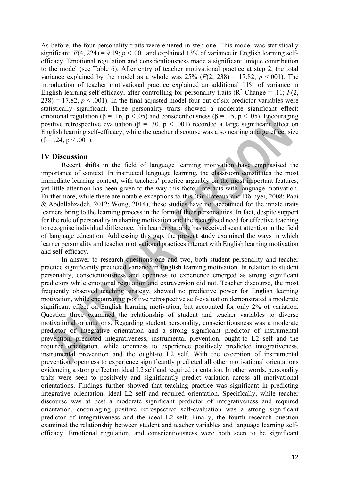As before, the four personality traits were entered in step one. This model was statistically significant,  $F(4, 224) = 9.19$ ;  $p < .001$  and explained 13% of variance in English learning selfefficacy. Emotional regulation and conscientiousness made a significant unique contribution to the model (see Table 6). After entry of teacher motivational practice at step 2, the total variance explained by the model as a whole was  $25\%$   $(F(2, 238) = 17.82; p \le 0.001)$ . The introduction of teacher motivational practice explained an additional 11% of variance in English learning self-efficacy, after controlling for personality traits  $(R^2 \text{ Change} = .11; F(2,$  $238$ ) = 17.82,  $p < .001$ ). In the final adjusted model four out of six predictor variables were statistically significant. Three personality traits showed a moderate significant effect: emotional regulation ( $\beta = .16$ ,  $p < .05$ ) and conscientiousness ( $\beta = .15$ ,  $p < .05$ ). Encouraging positive retrospective evaluation ( $\beta = .30$ ,  $p < .001$ ) recorded a large significant effect on English learning self-efficacy, while the teacher discourse was also nearing a large effect size  $(\beta = .24, p < .001)$ .

# **IV Discussion**

Recent shifts in the field of language learning motivation have emphasised the importance of context. In instructed language learning, the classroom constitutes the most immediate learning context, with teachers' practice arguably on the most important features, yet little attention has been given to the way this factor interacts with language motivation. Furthermore, while there are notable exceptions to this (Guilloteaux and Dörnyei, 2008; Papi & Abdollahzadeh, 2012; Wong, 2014), these studies have not accounted for the innate traits learners bring to the learning process in the form of their personalities. In fact, despite support for the role of personality in shaping motivation and the recognised need for effective teaching to recognise individual difference, this learner variable has received scant attention in the field of language education. Addressing this gap, the present study examined the ways in which learner personality and teacher motivational practices interact with English learning motivation and self-efficacy.

In answer to research questions one and two, both student personality and teacher practice significantly predicted variance in English learning motivation. In relation to student personality, conscientiousness and openness to experience emerged as strong significant predictors while emotional regulation and extraversion did not. Teacher discourse, the most frequently observed teaching strategy, showed no predictive power for English learning motivation, while encouraging positive retrospective self-evaluation demonstrated a moderate significant effect on English learning motivation, but accounted for only 2% of variation. Question three examined the relationship of student and teacher variables to diverse motivational orientations. Regarding student personality, conscientiousness was a moderate predictor of integrative orientation and a strong significant predictor of instrumental prevention, predicted integrativeness, instrumental prevention, ought-to L2 self and the required orientation, while openness to experience positively predicted integrativeness, instrumental prevention and the ought-to L2 self. With the exception of instrumental prevention, openness to experience significantly predicted all other motivational orientations evidencing a strong effect on ideal L2 self and required orientation. In other words, personality traits were seen to positively and significantly predict variation across all motivational orientations. Findings further showed that teaching practice was significant in predicting integrative orientation, ideal L2 self and required orientation. Specifically, while teacher discourse was at best a moderate significant predictor of integrativeness and required orientation, encouraging positive retrospective self-evaluation was a strong significant predictor of integrativeness and the ideal L2 self. Finally, the fourth research question examined the relationship between student and teacher variables and language learning selfefficacy. Emotional regulation, and conscientiousness were both seen to be significant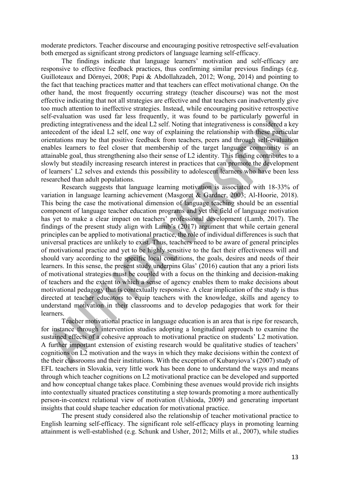moderate predictors. Teacher discourse and encouraging positive retrospective self-evaluation both emerged as significant strong predictors of language learning self-efficacy.

The findings indicate that language learners' motivation and self-efficacy are responsive to effective feedback practices, thus confirming similar previous findings (e.g. Guilloteaux and Dörnyei, 2008; Papi & Abdollahzadeh, 2012; Wong, 2014) and pointing to the fact that teaching practices matter and that teachers can effect motivational change. On the other hand, the most frequently occurring strategy (teacher discourse) was not the most effective indicating that not all strategies are effective and that teachers can inadvertently give too much attention to ineffective strategies. Instead, while encouraging positive retrospective self-evaluation was used far less frequently, it was found to be particularly powerful in predicting integrativeness and the ideal L2 self. Noting that integrativeness is considered a key antecedent of the ideal L2 self, one way of explaining the relationship with these particular orientations may be that positive feedback from teachers, peers and through self-evaluation enables learners to feel closer that membership of the target language community is an attainable goal, thus strengthening also their sense of L2 identity. This finding contributes to a slowly but steadily increasing research interest in practices that can promote the development of learners' L2 selves and extends this possibility to adolescent learners who have been less researched than adult populations.

Research suggests that language learning motivation is associated with 18-33% of variation in language learning achievement (Masgoret & Gardner, 2003; Al-Hoorie, 2018). This being the case the motivational dimension of language teaching should be an essential component of language teacher education programs and yet the field of language motivation has yet to make a clear impact on teachers' professional development (Lamb, 2017). The findings of the present study align with Lamb's (2017) argument that while certain general principles can be applied to motivational practice, the role of individual differences is such that universal practices are unlikely to exist. Thus, teachers need to be aware of general principles of motivational practice and yet to be highly sensitive to the fact their effectiveness will and should vary according to the specific local conditions, the goals, desires and needs of their learners. In this sense, the present study underpins Glas' (2016) caution that any a priori lists of motivational strategies must be coupled with a focus on the thinking and decision-making of teachers and the extent to which a sense of agency enables them to make decisions about motivational pedagogy that is contextually responsive. A clear implication of the study is thus directed at teacher educators to equip teachers with the knowledge, skills and agency to understand motivation in their classrooms and to develop pedagogies that work for their learners.

Teacher motivational practice in language education is an area that is ripe for research, for instance through intervention studies adopting a longitudinal approach to examine the sustained effects of a cohesive approach to motivational practice on students' L2 motivation. A further important extension of existing research would be qualitative studies of teachers' cognitions on L2 motivation and the ways in which they make decisions within the context of the their classrooms and their institutions. With the exception of Kubanyiova's (2007) study of EFL teachers in Slovakia, very little work has been done to understand the ways and means through which teacher cognitions on L2 motivational practice can be developed and supported and how conceptual change takes place. Combining these avenues would provide rich insights into contextually situated practices constituting a step towards promoting a more authentically person-in-context relational view of motivation (Ushioda, 2009) and generating important insights that could shape teacher education for motivational practice.

The present study considered also the relationship of teacher motivational practice to English learning self-efficacy. The significant role self-efficacy plays in promoting learning attainment is well-established (e.g. Schunk and Usher, 2012; Mills et al., 2007), while studies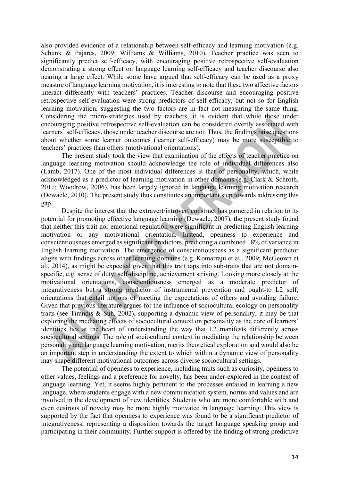also provided evidence of a relationship between self-efficacy and learning motivation (e.g. Schunk & Pajares, 2009; Williams & Williams, 2010). Teacher practice was seen to significantly predict self-efficacy, with encouraging positive retrospective self-evaluation demonstrating a strong effect on language learning self-efficacy and teacher discourse also nearing a large effect. While some have argued that self-efficacy can be used as a proxy measure of language learning motivation, it is interesting to note that these two affective factors interact differently with teachers' practices. Teacher discourse and encouraging positive retrospective self-evaluation were strong predictors of self-efficacy, but not so for English learning motivation, suggesting the two factors are in fact not measuring the same thing. Considering the micro-strategies used by teachers, it is evident that while those under encouraging positive retrospective self-evaluation can be considered overtly associated with learners' self-efficacy, those under teacher discourse are not. Thus, the findings raise questions about whether some learner outcomes (learner self-efficacy) may be more susceptible to teachers' practices than others (motivational orientations).

The present study took the view that examination of the effects of teacher practice on language learning motivation should acknowledge the role of individual differences also (Lamb, 2017). One of the most individual differences is that of personality, which, while acknowledged as a predictor of learning motivation in other domains (e.g. Clark & Schroth, 2011; Woodrow, 2006), has been largely ignored in language learning motivation research (Dewaele, 2010). The present study thus constitutes an important step towards addressing this gap.

Despite the interest that the extravert/introvert construct has garnered in relation to its potential for promoting effective language learning (Dewaele, 2007), the present study found that neither this trait nor emotional regulation were significant in predicting English learning motivation or any motivational orientation. Instead, openness to experience and conscientiousness emerged as significant predictors, predicting a combined 18% of variance in English learning motivation. The emergence of conscientiousness as a significant predictor aligns with findings across other learning domains (e.g. Komarraju et al., 2009; McGeown et al., 2014), as might be expected given that this trait taps into sub-traits that are not domainspecific, e.g. sense of duty, self-discipline, achievement striving. Looking more closely at the motivational orientations, conscientiousness emerged as a moderate predictor of integrativeness but a strong predictor of instrumental prevention and ought-to L2 self; orientations that entail notions of meeting the expectations of others and avoiding failure. Given that previous literature argues for the influence of sociocultural ecology on personality traits (see Tirandis & Suh, 2002), supporting a dynamic view of personality, it may be that exploring the mediating effects of sociocultural context on personality as the core of learners' identities lies at the heart of understanding the way that L2 manifests differently across sociocultural settings. The role of sociocultural context in mediating the relationship between personality and language learning motivation, merits theoretical exploration and would also be an important step in understanding the extent to which within a dynamic view of personality may shape different motivational outcomes across diverse sociocultural settings.

The potential of openness to experience, including traits such as curiosity, openness to other values, feelings and a preference for novelty, has been under-explored in the context of language learning. Yet, it seems highly pertinent to the processes entailed in learning a new language, where students engage with a new communication system, norms and values and are involved in the development of new identities. Students who are more comfortable with and even desirous of novelty may be more highly motivated in language learning. This view is supported by the fact that openness to experience was found to be a significant predictor of integrativeness, representing a disposition towards the target language speaking group and participating in their community. Further support is offered by the finding of strong predictive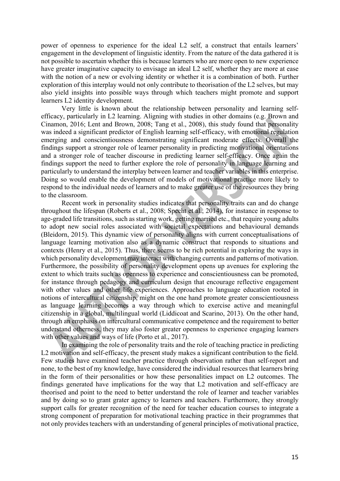power of openness to experience for the ideal L2 self, a construct that entails learners' engagement in the development of linguistic identity. From the nature of the data gathered it is not possible to ascertain whether this is because learners who are more open to new experience have greater imaginative capacity to envisage an ideal L2 self, whether they are more at ease with the notion of a new or evolving identity or whether it is a combination of both. Further exploration of this interplay would not only contribute to theorisation of the L2 selves, but may also yield insights into possible ways through which teachers might promote and support learners L2 identity development.

Very little is known about the relationship between personality and learning selfefficacy, particularly in L2 learning. Aligning with studies in other domains (e.g. Brown and Cinamon, 2016; Lent and Brown, 2008; Tang et al., 2008), this study found that personality was indeed a significant predictor of English learning self-efficacy, with emotional regulation emerging and conscientiousness demonstrating significant moderate effects. Overall the findings support a stronger role of learner personality in predicting motivational orientations and a stronger role of teacher discourse in predicting learner self-efficacy. Once again the findings support the need to further explore the role of personality in language learning and particularly to understand the interplay between learner and teacher variables in this enterprise. Doing so would enable the development of models of motivational practice more likely to respond to the individual needs of learners and to make greater use of the resources they bring to the classroom.

Recent work in personality studies indicates that personality traits can and do change throughout the lifespan (Roberts et al., 2008; Specht et al., 2014), for instance in response to age-graded life transitions, such as starting work, getting married etc., that require young adults to adopt new social roles associated with societal expectations and behavioural demands (Bleidorn, 2015). This dynamic view of personality aligns with current conceptualisations of language learning motivation also as a dynamic construct that responds to situations and contexts (Henry et al., 2015). Thus, there seems to be rich potential in exploring the ways in which personality development may interact with changing currents and patterns of motivation. Furthermore, the possibility of personality development opens up avenues for exploring the extent to which traits such as openness to experience and conscientiousness can be promoted, for instance through pedagogy and curriculum design that encourage reflective engagement with other values and other life experiences. Approaches to language education rooted in notions of intercultural citizenship, might on the one hand promote greater conscientiousness as language learning becomes a way through which to exercise active and meaningful citizenship in a global, multilingual world (Liddicoat and Scarino, 2013). On the other hand, through an emphasis on intercultural communicative competence and the requirement to better understand otherness, they may also foster greater openness to experience engaging learners with other values and ways of life (Porto et al., 2017).

In examining the role of personality traits and the role of teaching practice in predicting L2 motivation and self-efficacy, the present study makes a significant contribution to the field. Few studies have examined teacher practice through observation rather than self-report and none, to the best of my knowledge, have considered the individual resources that learners bring in the form of their personalities or how these personalities impact on L2 outcomes. The findings generated have implications for the way that L2 motivation and self-efficacy are theorised and point to the need to better understand the role of learner and teacher variables and by doing so to grant grater agency to learners and teachers. Furthermore, they strongly support calls for greater recognition of the need for teacher education courses to integrate a strong component of preparation for motivational teaching practice in their programmes that not only provides teachers with an understanding of general principles of motivational practice,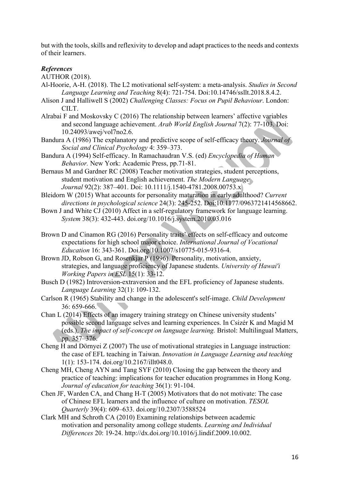but with the tools, skills and reflexivity to develop and adapt practices to the needs and contexts of their learners.

# *References*

AUTHOR (2018).

- Al-Hoorie, A-H. (2018). The L2 motivational self-system: a meta-analysis. *Studies in Second Language Learning and Teaching* 8(4): 721-754. Doi:10.14746/ssllt.2018.8.4.2.
- Alison J and Halliwell S (2002) *Challenging Classes: Focus on Pupil Behaviour*. London: CILT.
- Alrabai F and Moskovsky C (2016) The relationship between learners' affective variables and second language achievement. *Arab World English Journal* 7(2): 77-103. Doi: 10.24093/awej/vol7no2.6.
- Bandura A (1986) The explanatory and predictive scope of self-efficacy theory. *Journal of Social and Clinical Psychology* 4: 359–373.
- Bandura A (1994) Self-efficacy. In Ramachaudran V.S. (ed) *Encyclopedia of Human Behavior.* New York: Academic Press, pp.71-81.
- Bernaus M and Gardner RC (2008) Teacher motivation strategies, student perceptions, student motivation and English achievement. *The Modern Language Journal* 92(2): 387–401. Doi: 10.1111/j.1540-4781.2008.00753.x
- Bleidorn W (2015) What accounts for personality maturation in early adulthood? *Current directions in psychological science* 24(3): 245-252. Doi:10.1177/0963721414568662.
- Bown J and White CJ (2010) Affect in a self-regulatory framework for language learning. *System* 38(3): 432-443. doi.org/10.1016/j.system.2010.03.016
- Brown D and Cinamon RG (2016) Personality traits' effects on self-efficacy and outcome expectations for high school major choice. *International Journal of Vocational Education* 16: 343-361. Doi.org/10.1007/s10775-015-9316-4.
- Brown JD, Robson G, and Rosenkjar P (1996). Personality, motivation, anxiety, strategies, and language proficiency of Japanese students. *University of Hawai'i Working Papers in ESL* 15(1): 33-12.
- Busch D (1982) Introversion-extraversion and the EFL proficiency of Japanese students. *Language Learning* 32(1): 109-132.
- Carlson R (1965) Stability and change in the adolescent's self-image. *Child Development* 36: 659-666.
- Chan L (2014) Effects of an imagery training strategy on Chinese university students' possible second language selves and learning experiences. In Csizér K and Magid M (eds.), *The impact of self-concept on language learning.* Bristol: Multilingual Matters, pp. 357–376.
- Cheng H and Dörnyei Z (2007) The use of motivational strategies in Language instruction: the case of EFL teaching in Taiwan. *Innovation in Language Learning and teaching*  1(1): 153-174. doi.org/10.2167/illt048.0.
- Cheng MH, Cheng AYN and Tang SYF (2010) Closing the gap between the theory and practice of teaching: implications for teacher education programmes in Hong Kong. *Journal of education for teaching* 36(1): 91-104.
- Chen JF, Warden CA, and Chang H-T (2005) Motivators that do not motivate: The case of Chinese EFL learners and the influence of culture on motivation. *TESOL Quarterly* 39(4): 609–633. doi.org/10.2307/3588524
- Clark MH and Schroth CA (2010) Examining relationships between academic motivation and personality among college students. *Learning and Individual Differences* 20: 19-24. http://dx.doi.org/10.1016/j.lindif.2009.10.002.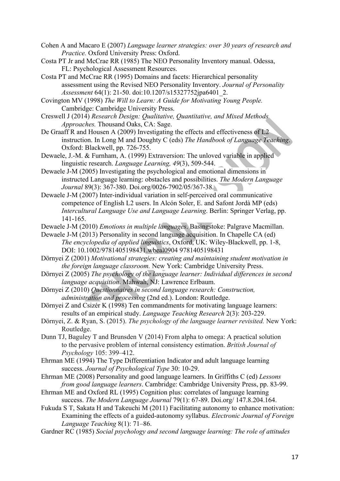- Cohen A and Macaro E (2007) *Language learner strategies: over 30 years of research and Practice.* Oxford University Press: Oxford.
- Costa PT Jr and McCrae RR (1985) The NEO Personality Inventory manual. Odessa, FL: Psychological Assessment Resources.
- Costa PT and McCrae RR (1995) Domains and facets: Hierarchical personality assessment using the Revised NEO Personality Inventory. *Journal of Personality Assessment* 64(1): 21-50. doi:10.1207/s15327752jpa6401\_2.
- Covington MV (1998) *The Will to Learn: A Guide for Motivating Young People.*  Cambridge: Cambridge University Press.
- Creswell J (2014) *Research Design: Qualitative, Quantitative, and Mixed Methods Approaches.* Thousand Oaks, CA: Sage.
- De Graaff R and Housen A (2009) Investigating the effects and effectiveness of L2 instruction. In Long M and Doughty C (eds) *The Handbook of Language Teaching*. Oxford: Blackwell, pp. 726-755.
- Dewaele, J.-M. & Furnham, A. (1999) Extraversion: The unloved variable in applied linguistic research. *Language Learning, 49*(3), 509-544.
- Dewaele J-M (2005) Investigating the psychological and emotional dimensions in instructed Language learning: obstacles and possibilities. *The Modern Language Journal* 89(3): 367-380. Doi.org/0026-7902/05/367-38.
- Dewaele J-M (2007) Inter-individual variation in self-perceived oral communicative competence of English L2 users. In Alcón Soler, E. and Safont Jordà MP (eds) *Intercultural Language Use and Language Learning*. Berlin: Springer Verlag, pp. 141-165.
- Dewaele J-M (2010) *Emotions in multiple languages*. Basingstoke: Palgrave Macmillan.
- Dewaele J-M (2013) Personality in second language acquisition. In Chapelle CA (ed) *The encyclopedia of applied linguistics*, Oxford, UK: Wiley-Blackwell, pp. 1-8, DOI: 10.1002/9781405198431.wbeal0904 9781405198431
- Dörnyei Z (2001) *Motivational strategies: creating and maintaining student motivation in the foreign language classroom.* New York: Cambridge University Press.
- Dörnyei Z (2005) *The psychology of the language learner: Individual differences in second language acquisition*. Mahwah, NJ: Lawrence Erlbaum.
- Dörnyei Z (2010) *Questionnaires in second language research: Construction, administration and processing* (2nd ed.). London: Routledge.
- Dörnyei Z and Csizér K (1998) Ten commandments for motivating language learners: results of an empirical study. *Language Teaching Research* 2(3): 203-229.
- Dörnyei, Z. & Ryan, S. (2015). *The psychology of the language learner revisited.* New York: Routledge.
- Dunn TJ, Baguley T and Brunsden V (2014) From alpha to omega: A practical solution to the pervasive problem of internal consistency estimation. *British Journal of Psychology* 105: 399–412.
- Ehrman ME (1994) The Type Differentiation Indicator and adult language learning success. *Journal of Psychological Type* 30: 10-29.
- Ehrman ME (2008) Personality and good language learners. In Griffiths C (ed) *Lessons from good language learners*. Cambridge: Cambridge University Press, pp. 83-99.
- Ehrman ME and Oxford RL (1995) Cognition plus: correlates of language learning success. *The Modern Language Journal* 79(1): 67-89. Doi.org/ 147.8.204.164.
- Fukuda S T, Sakata H and Takeuchi M (2011) Facilitating autonomy to enhance motivation: Examining the effects of a guided-autonomy syllabus. *Electronic Journal of Foreign Language Teaching* 8(1): 71–86.
- Gardner RC (1985) *Social psychology and second language learning: The role of attitudes*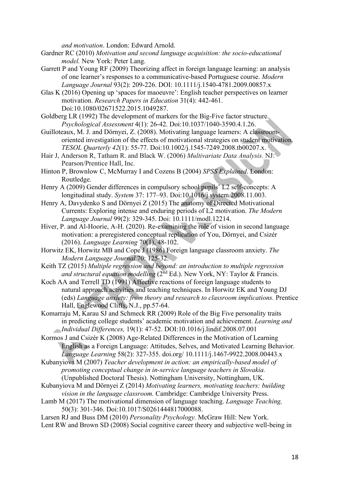*and motivation*. London: Edward Arnold.

- Gardner RC (2010) *Motivation and second language acquisition: the socio-educational model.* New York: Peter Lang.
- Garrett P and Young RF (2009) Theorizing affect in foreign language learning: an analysis of one learner's responses to a communicative-based Portuguese course. *Modern Language Journal* 93(2): 209-226. DOI: 10.1111/j.1540-4781.2009.00857.x
- Glas K (2016) Opening up 'spaces for maoeuvre': English teacher perspectives on learner motivation. *Research Papers in Education* 31(4): 442-461. Doi:10.1080/02671522.2015.1049287.
- Goldberg LR (1992) The development of markers for the Big-Five factor structure. *Psychological Assessment* 4(1): 26-42. Doi:10.1037/1040-3590.4.1.26.
- Guilloteaux, M. J. and Dörnyei, Z. (2008). Motivating language learners: A classroomoriented investigation of the effects of motivational strategies on student motivation. *TESOL Quarterly 42*(1): 55-77. Doi:10.1002/j.1545-7249.2008.tb00207.x.
- Hair J, Anderson R, Tatham R. and Black W. (2006) *Multivariate Data Analysis.* NJ: Pearson/Prentice Hall, Inc.
- Hinton P, Brownlow C, McMurray I and Cozens B (2004) *SPSS Explained*. London: Routledge.
- Henry A (2009) Gender differences in compulsory school pupils' L2 self-concepts: A longitudinal study. *System* 37: 177–93. Doi:10.1016/j.system.2008.11.003.
- Henry A, Davydenko S and Dörnyei Z (2015) The anatomy of Directed Motivational Currents: Exploring intense and enduring periods of L2 motivation. *The Modern Language Journal* 99(2): 329-345. Doi: 10.1111/modl.12214.
- Hiver, P. and Al-Hoorie, A-H. (2020). Re-examining the role of vision in second language motivation: a preregistered conceptual replication of You, Dörnyei, and Csizér (2016). *Language Learning* 70(1), 48-102.
- Horwitz EK, Horwitz MB and Cope J (1986) Foreign language classroom anxiety. *The Modern Language Journal* 70: 125-32.
- Keith TZ (2015) *Multiple regression and beyond: an introduction to multiple regression and structural equation modelling* (2nd Ed.). New York, NY: Taylor & Francis.
- Koch AA and Terrell TD (1991) Affective reactions of foreign language students to natural approach activities and teaching techniques. In Horwitz EK and Young DJ (eds) *Language anxiety: from theory and research to classroom implications.* Prentice Hall, Englewood Cliffs, N.J., pp.57-64.
- Komarraju M, Karau SJ and Schmeck RR (2009) Role of the Big Five personality traits in predicting college students' academic motivation and achievement. *Learning and Individual Differences,* 19(1): 47-52. DOI:10.1016/j.lindif.2008.07.001
- Kormos J and Csizér K (2008) Age-Related Differences in the Motivation of Learning English as a Foreign Language: Attitudes, Selves, and Motivated Learning Behavior. *Language Learning* 58(2): 327-355. doi.org/ 10.1111/j.1467-9922.2008.00443.x
- Kubanyiova M (2007) *Teacher development in action: an empirically-based model of promoting conceptual change in in-service language teachers in Slovakia.* (Unpublished Doctoral Thesis). Nottingham University, Nottingham, UK.
- Kubanyiova M and Dörnyei Z (2014) *Motivating learners, motivating teachers: building vision in the language classroom.* Cambridge: Cambridge University Press.
- Lamb M (2017) The motivational dimension of language teaching. *Language Teaching,*  50(3): 301-346. Doi:10.1017/S0261444817000088.
- Larsen RJ and Buss DM (2010) *Personality Psychology.* McGraw Hill: New York. Lent RW and Brown SD (2008) Social cognitive career theory and subjective well-being in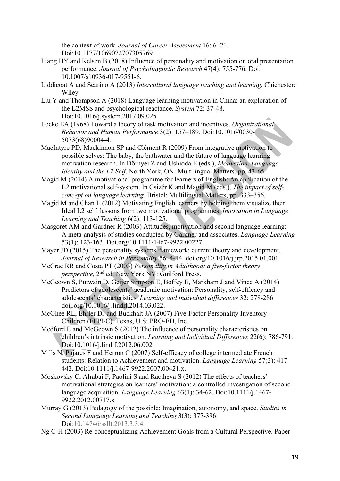the context of work. *Journal of Career Assessment* 16: 6–21. Doi:10.1177/1069072707305769

- Liang HY and Kelsen B (2018) Influence of personality and motivation on oral presentation performance. *Journal of Psycholinguistic Research* 47(4): 755-776. Doi: 10.1007/s10936-017-9551-6.
- Liddicoat A and Scarino A (2013) *Intercultural language teaching and learning*. Chichester: Wiley.
- Liu Y and Thompson A (2018) Language learning motivation in China: an exploration of the L2MSS and psychological reactance. *System* 72: 37-48. Doi:10.1016/j.system.2017.09.025
- Locke EA (1968) Toward a theory of task motivation and incentives. *Organizational Behavior and Human Performance* 3(2): 157–189*.* Doi*:*10.1016/0030- 5073(68)90004-4*.*
- MacIntyre PD, Mackinnon SP and Clément R (2009) From integrative motivation to possible selves: The baby, the bathwater and the future of language learning motivation research. In Dörnyei Z and Ushioda E (eds.), *Motivation, Language Identity and the L2 Self*. North York, ON: Multilingual Matters, pp. 43-65.
- Magid M (2014) A motivational programme for learners of English: An application of the L2 motivational self-system. In Csizér K and Magid M (eds.), *The impact of selfconcept on language learning.* Bristol: Multilingual Matters, pp. 333–356.
- Magid M and Chan L (2012) Motivating English learners by helping them visualize their Ideal L2 self: lessons from two motivational programmes. *Innovation in Language Learning and Teaching* 6(2): 113-125.
- Masgoret AM and Gardner R (2003) Attitudes, motivation and second language learning: A meta-analysis of studies conducted by Gardner and associates. *Language Learning* 53(1): 123-163. Doi.org/10.1111/1467-9922.00227.
- Mayer JD (2015) The personality systems framework: current theory and development. *Journal of Research in Personality* 56: 4-14. doi.org/10.1016/j.jrp.2015.01.001
- McCrae RR and Costa PT (2003) *Personality in Adulthood: a five-factor theory perspective,* 2nd ed. New York NY: Guilford Press.
- McGeown S, Putwain D, Geijer Simpson E, Boffey E, Markham J and Vince A (2014) Predictors of adolescents' academic motivation: Personality, self-efficacy and adolescents' characteristics. *Learning and individual differences* 32: 278-286. doi,.org/10.1016/j.lindif.2014.03.022.
- McGhee RL, Ehrler DJ and Buckhalt JA (2007) Five-Factor Personality Inventory Children (FFPI-C). Texas, U.S: PRO-ED, Inc.
- Medford E and McGeown S (2012) The influence of personality characteristics on children's intrinsic motivation. *Learning and Individual Differences* 22(6): 786-791. Doi:10.1016/j.lindif.2012.06.002
- Mills N, Pajares F and Herron C (2007) Self-efficacy of college intermediate French students: Relation to Achievement and motivation. *Language Learning* 57(3): 417- 442. Doi:10.1111/j.1467-9922.2007.00421.x.
- Moskovsky C, Alrabai F, Paolini S and Ractheva S (2012) The effects of teachers' motivational strategies on learners' motivation: a controlled investigation of second language acquisition. *Language Learning* 63(1): 34-62. Doi:10.1111/j.1467- 9922.2012.00717.x
- Murray G (2013) Pedagogy of the possible: Imagination, autonomy, and space. *Studies in Second Language Learning and Teaching* 3(3): 377-396. Doi:10.14746/ssllt.2013.3.3.4
- Ng C-H (2003) Re-conceptualizing Achievement Goals from a Cultural Perspective. Paper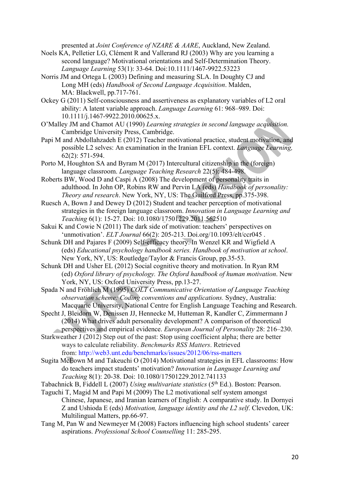presented at *Joint Conference of NZARE & AARE*, Auckland, New Zealand.

- Noels KA, Pelletier LG, Clément R and Vallerand RJ (2003) Why are you learning a second language? Motivational orientations and Self-Determination Theory. *Language Learning* 53(1): 33-64. Doi:10.1111/1467-9922.53223
- Norris JM and Ortega L (2003) Defining and measuring SLA. In Doughty CJ and Long MH (eds) *Handbook of Second Language Acquisition*. Malden, MA: Blackwell, pp.717-761.
- Ockey G (2011) Self-consciousness and assertiveness as explanatory variables of L2 oral ability: A latent variable approach. *Language Learning* 61: 968–989. Doi: 10.1111/j.1467-9922.2010.00625.x.
- O'Malley JM and Chamot AU (1990) *Learning strategies in second language acquisition.* Cambridge University Press, Cambridge.
- Papi M and Abdollahzadeh E (2012) Teacher motivational practice, student motivation, and possible L2 selves: An examination in the Iranian EFL context. *Language Learning,*  62(2): 571-594.
- Porto M, Houghton SA and Byram M (2017) Intercultural citizenship in the (foreign) language classroom. *Language Teaching Research* 22(5): 484-498.
- Roberts BW, Wood D and Caspi A (2008) The development of personality traits in adulthood. In John OP, Robins RW and Pervin LA (eds) *Handbook of personality: Theory and research*. New York, NY, US: The Guilford Press, pp.375-398.
- Ruesch A, Bown J and Dewey D (2012) Student and teacher perception of motivational strategies in the foreign language classroom. *Innovation in Language Learning and Teaching* 6(1): 15-27. Doi: 10.1080/17501229.2011.562510
- Sakui K and Cowie N (2011) The dark side of motivation: teachers' perspectives on 'unmotivation'. *ELT Journal* 66(2): 205-213. Doi.org/10.1093/elt/ccr045 .
- Schunk DH and Pajares F (2009) Self-efficacy theory. In Wenzel KR and Wigfield A (eds) *Educational psychology handbook series. Handbook of motivation at school*. New York, NY, US: Routledge/Taylor & Francis Group, pp.35-53.
- Schunk DH and Usher EL (2012) Social cognitive theory and motivation. In Ryan RM (ed) *Oxford library of psychology. The Oxford handbook of human motivation*. New York, NY, US: Oxford University Press, pp.13-27.
- Spada N and Fröhlich M (1995) *COLT Communicative Orientation of Language Teaching observation scheme: Coding conventions and applications.* Sydney, Australia: Macquarie University, National Centre for English Language Teaching and Research.
- Specht J, Bleidorn W, Denissen JJ, Hennecke M, Hutteman R, Kandler C, Zimmermann J (2014) What drives adult personality development? A comparison of theoretical perspectives and empirical evidence. *European Journal of Personality* 28: 216–230.
- Starkweather J (2012) Step out of the past: Stop using coefficient alpha; there are better ways to calculate reliability. *Benchmarks RSS Matters*. Retrieved
- from: http://web3.unt.edu/benchmarks/issues/2012/06/rss-matters Sugita McEown M and Takeuchi O (2014) Motivational strategies in EFL classrooms: How
- do teachers impact students' motivation? *Innovation in Language Learning and Teaching* 8(1): 20-38. Doi: 10.1080/17501229.2012.741133
- Tabachnick B, Fiddell L (2007) *Using multivariate statistics* (5th Ed.). Boston: Pearson.
- Taguchi T, Magid M and Papi M (2009) The L2 motivational self system amongst Chinese, Japanese, and Iranian learners of English: A comparative study. In Dornyei Z and Ushioda E (eds) *Motivation, language identity and the L2 self*. Clevedon, UK: Multilingual Matters, pp.66-97.
- Tang M, Pan W and Newmeyer M (2008) Factors influencing high school students' career aspirations. *Professional School Counselling* 11: 285-295.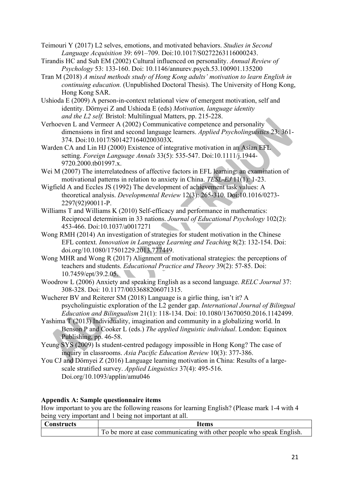Teimouri Y (2017) L2 selves, emotions, and motivated behaviors. *Studies in Second Language Acquisition* 39: 691–709. Doi:10.1017/S0272263116000243.

- Tirandis HC and Suh EM (2002) Cultural influenced on personality. *Annual Review of Psychology* 53: 133-160. Doi: 10.1146/annurev.psych.53.100901.135200
- Tran M (2018) *A mixed methods study of Hong Kong adults' motivation to learn English in continuing education.* (Unpublished Doctoral Thesis). The University of Hong Kong, Hong Kong SAR.
- Ushioda E (2009) A person-in-context relational view of emergent motivation, self and identity. Dörnyei Z and Ushioda E (eds) *Motivation, language identity and the L2 self.* Bristol: Multilingual Matters, pp. 215-228.
- Verhoeven L and Vermeer A (2002) Communicative competence and personality dimensions in first and second language learners. *Applied Psycholinguistics* 23: 361- 374. Doi:10.1017/S014271640200303X.
- Warden CA and Lin HJ (2000) Existence of integrative motivation in an Asian EFL setting. *Foreign Language Annals* 33(5): 535-547. Doi:10.1111/j.1944- 9720.2000.tb01997.x.
- Wei M (2007) The interrelatedness of affective factors in EFL learning: an examination of motivational patterns in relation to anxiety in China. *TESL-EJ* 11(1): 1-23.
- Wigfield A and Eccles JS (1992) The development of achievement task values: A theoretical analysis. *Developmental Review* 12(3): 265-310. Doi:10.1016/0273- 2297(92)90011-P.
- Williams T and Williams K (2010) Self-efficacy and performance in mathematics: Reciprocal determinism in 33 nations. *Journal of Educational Psychology* 102(2): 453-466. Doi:10.1037/a0017271
- Wong RMH (2014) An investigation of strategies for student motivation in the Chinese EFL context. *Innovation in Language Learning and Teaching* 8(2): 132-154. Doi: doi.org/10.1080/17501229.2013.777449.
- Wong MHR and Wong R (2017) Alignment of motivational strategies: the perceptions of teachers and students. *Educational Practice and Theory* 39(2): 57-85. Doi: 10.7459/ept/39.2.05.
- Woodrow L (2006) Anxiety and speaking English as a second language. *RELC Journal* 37: 308-328. Doi: 10.1177/0033688206071315.
- Wucherer BV and Reiterer SM (2018) Language is a girlie thing, isn't it? A psycholinguistic exploration of the L2 gender gap. *International Journal of Bilingual Education and Bilingualism* 21(1): 118-134. Doi: 10.1080/13670050.2016.1142499.
- Yashima T (2013) Individuality, imagination and community in a globalizing world. In Benson P and Cooker L (eds.) *The applied linguistic individual*. London: Equinox Publishing, pp. 46-58.
- Yeung SYS (2009) Is student-centred pedagogy impossible in Hong Kong? The case of inquiry in classrooms. *Asia Pacific Education Review* 10(3): 377-386.
- You CJ and Dörnyei Z (2016) Language learning motivation in China: Results of a largescale stratified survey. *Applied Linguistics* 37(4): 495-516. Doi.org/10.1093/applin/amu046

# **Appendix A: Sample questionnaire items**

How important to you are the following reasons for learning English? (Please mark 1-4 with 4 being very important and 1 being not important at all.

| Constructs | ltems                                                                 |
|------------|-----------------------------------------------------------------------|
|            | To be more at ease communicating with other people who speak English. |